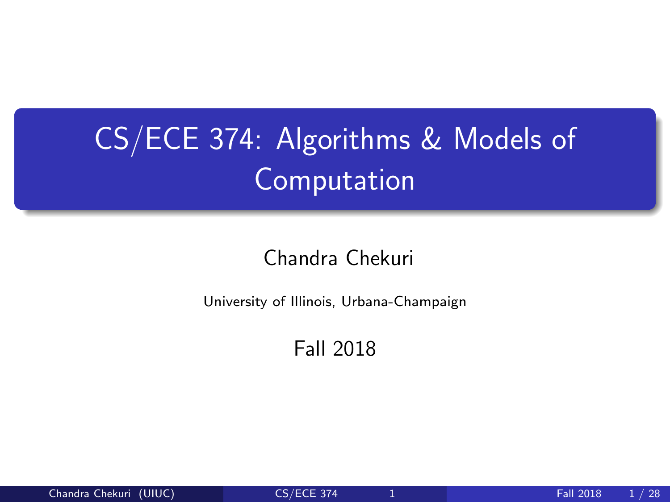## <span id="page-0-0"></span>CS/ECE 374: Algorithms & Models of Computation

#### Chandra Chekuri

University of Illinois, Urbana-Champaign

Fall 2018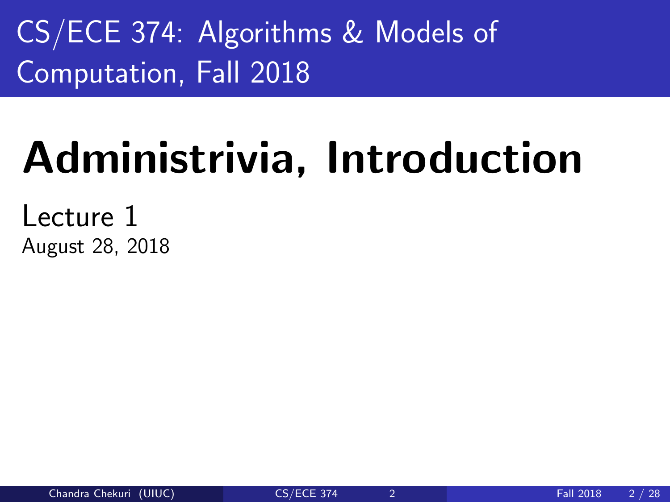CS/ECE 374: Algorithms & Models of Computation, Fall 2018

# Administrivia, Introduction

Lecture 1 August 28, 2018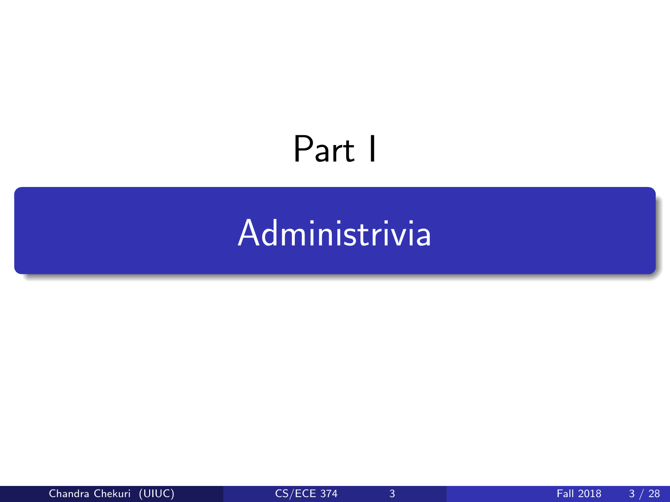# <span id="page-2-0"></span>Part I

# [Administrivia](#page-2-0)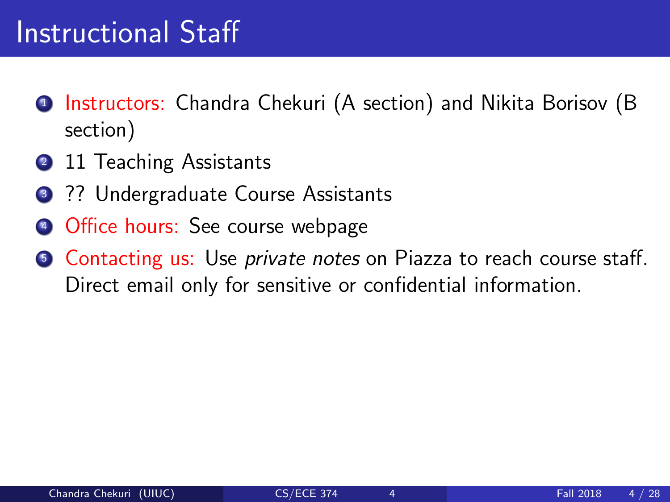### Instructional Staff

- <sup>1</sup> Instructors: Chandra Chekuri (A section) and Nikita Borisov (B section)
- 2 11 Teaching Assistants
- <sup>3</sup> ?? Undergraduate Course Assistants
- <sup>4</sup> Office hours: See course webpage
- **6** Contacting us: Use *private notes* on Piazza to reach course staff. Direct email only for sensitive or confidential information.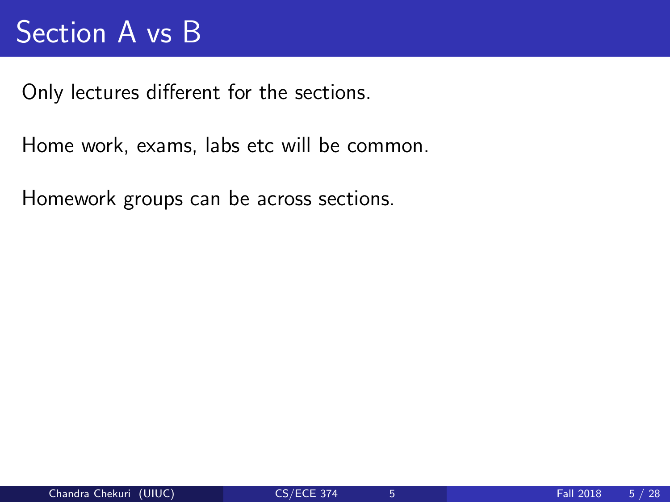### Section A vs B

Only lectures different for the sections.

Home work, exams, labs etc will be common.

Homework groups can be across sections.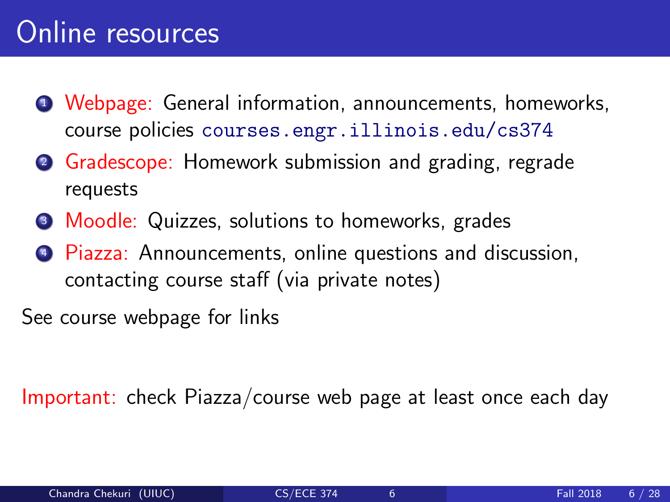- <sup>1</sup> Webpage: General information, announcements, homeworks, course policies <courses.engr.illinois.edu/cs374>
- <sup>2</sup> Gradescope: Homework submission and grading, regrade requests
- <sup>3</sup> Moodle: Quizzes, solutions to homeworks, grades
- **4 Piazza:** Announcements, online questions and discussion, contacting course staff (via private notes)

See course webpage for links

Important: check Piazza/course web page at least once each day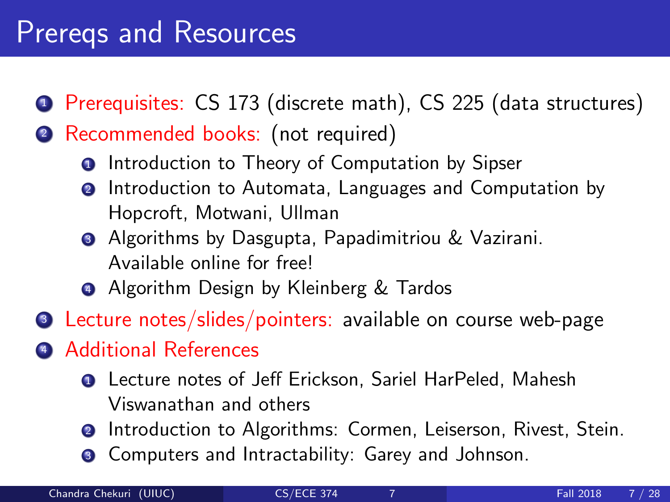### Prereqs and Resources

- <sup>1</sup> Prerequisites: CS 173 (discrete math), CS 225 (data structures)
- <sup>2</sup> Recommended books: (not required)
	- **O** Introduction to Theory of Computation by Sipser
	- **2** Introduction to Automata, Languages and Computation by Hopcroft, Motwani, Ullman
	- **3** Algorithms by Dasgupta, Papadimitriou & Vazirani. Available online for free!
	- **4** Algorithm Design by Kleinberg & Tardos
- <sup>3</sup> Lecture notes/slides/pointers: available on course web-page
- <sup>4</sup> Additional References
	- **Q** Lecture notes of Jeff Erickson, Sariel HarPeled, Mahesh Viswanathan and others
	- **2** Introduction to Algorithms: Cormen, Leiserson, Rivest, Stein.
	- <sup>3</sup> Computers and Intractability: Garey and Johnson.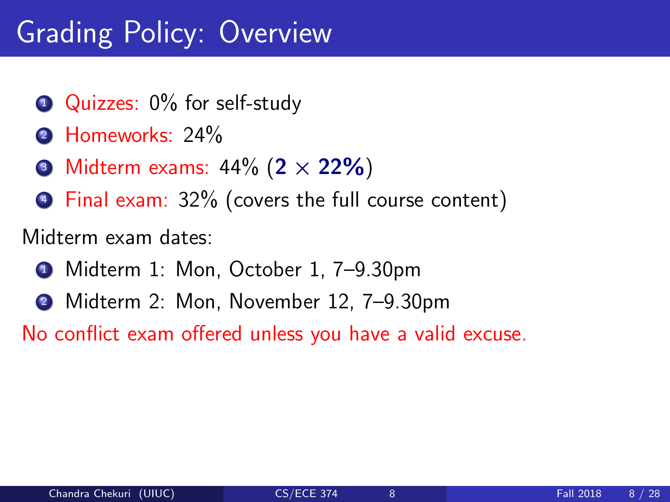### Grading Policy: Overview

- **1** Quizzes: 0% for self-study
- 2 Homeworks: 24%
- $\odot$  Midterm exams: 44% (2  $\times$  22%)
- <sup>4</sup> Final exam: 32% (covers the full course content)

Midterm exam dates:

- **1** Midterm 1: Mon, October 1, 7–9.30pm
- <sup>2</sup> Midterm 2: Mon, November 12, 7–9.30pm

No conflict exam offered unless you have a valid excuse.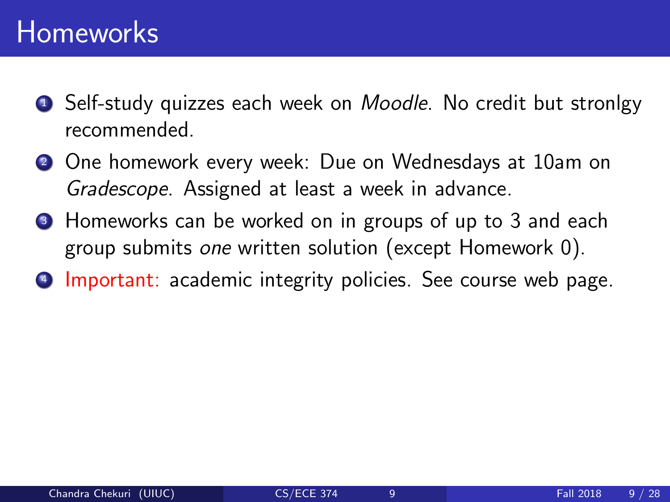### Homeworks

- **1** Self-study quizzes each week on *Moodle*. No credit but stronlgy recommended.
- 2 One homework every week: Due on Wednesdays at 10am on Gradescope. Assigned at least a week in advance.
- **3** Homeworks can be worked on in groups of up to 3 and each group submits one written solution (except Homework 0).
- **4 Important:** academic integrity policies. See course web page.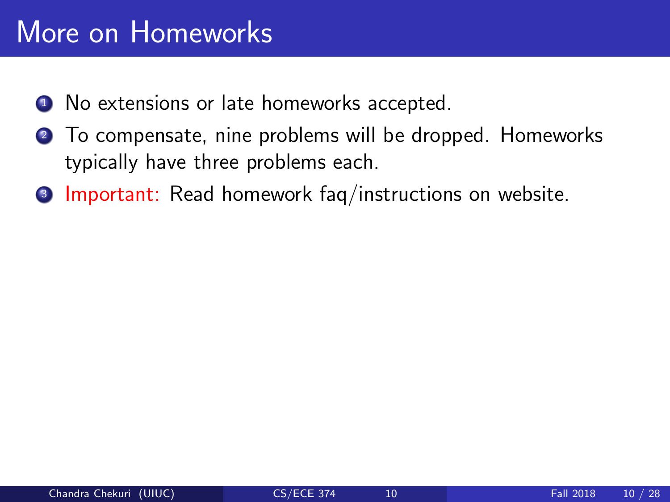### More on Homeworks

- **1** No extensions or late homeworks accepted.
- <sup>2</sup> To compensate, nine problems will be dropped. Homeworks typically have three problems each.
- <sup>3</sup> Important: Read homework faq/instructions on website.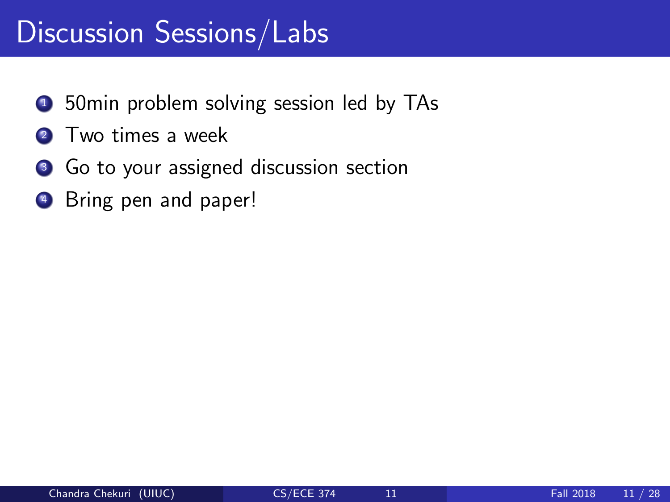### Discussion Sessions/Labs

- **1** 50min problem solving session led by TAs
- 2 Two times a week
- <sup>3</sup> Go to your assigned discussion section
- **4** Bring pen and paper!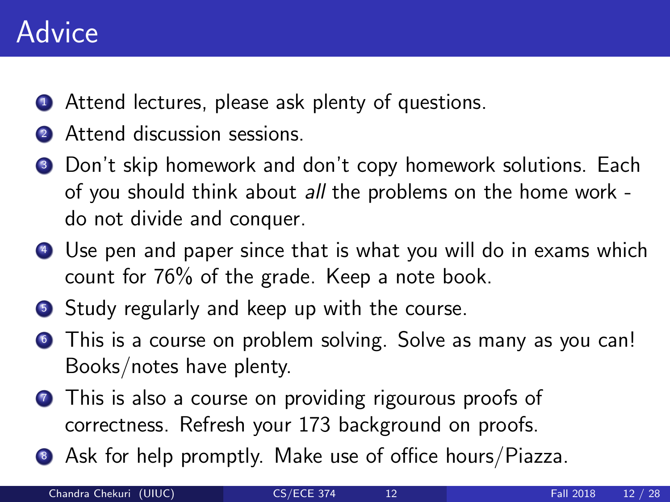### **Advice**

- **1** Attend lectures, please ask plenty of questions.
- 2 Attend discussion sessions.
- **3** Don't skip homework and don't copy homework solutions. Each of you should think about all the problems on the home work do not divide and conquer.
- <sup>4</sup> Use pen and paper since that is what you will do in exams which count for 76% of the grade. Keep a note book.
- **5** Study regularly and keep up with the course.
- **•** This is a course on problem solving. Solve as many as you can! Books/notes have plenty.
- **This is also a course on providing rigourous proofs of** correctness. Refresh your 173 background on proofs.
- <sup>8</sup> Ask for help promptly. Make use of office hours/Piazza.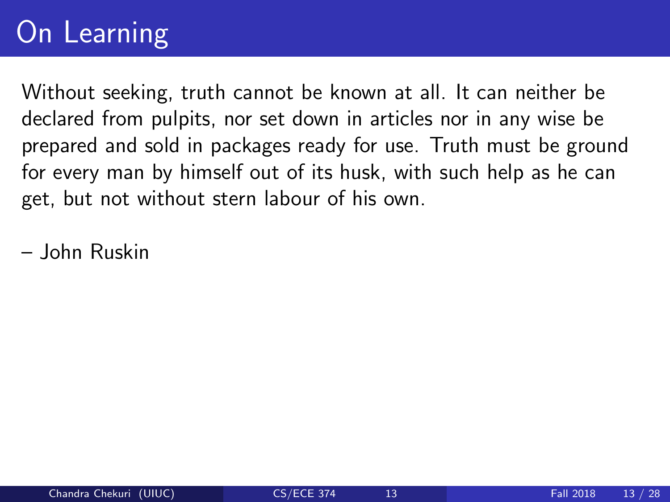### On Learning

Without seeking, truth cannot be known at all. It can neither be declared from pulpits, nor set down in articles nor in any wise be prepared and sold in packages ready for use. Truth must be ground for every man by himself out of its husk, with such help as he can get, but not without stern labour of his own.

– John Ruskin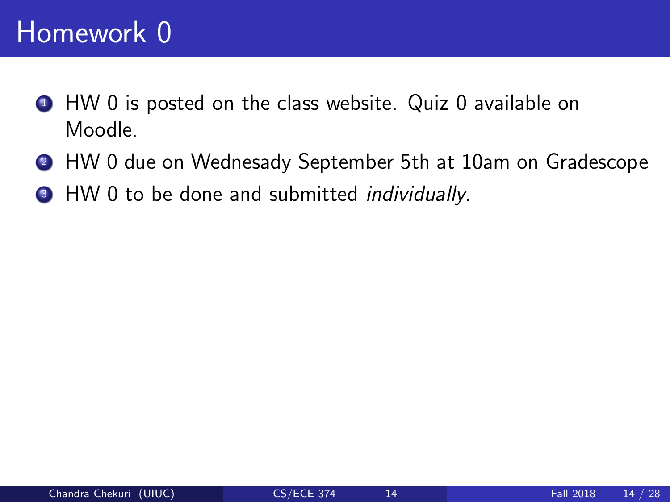### Homework 0

- **1** HW 0 is posted on the class website. Quiz 0 available on Moodle.
- <sup>2</sup> HW 0 due on Wednesady September 5th at 10am on Gradescope
- <sup>3</sup> HW 0 to be done and submitted *individually*.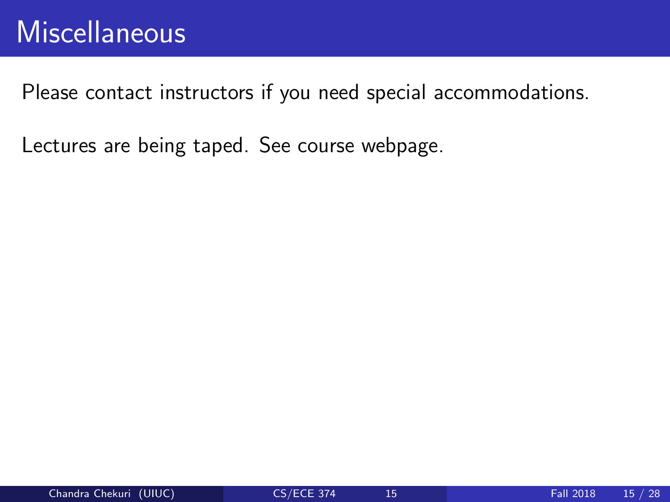Please contact instructors if you need special accommodations.

Lectures are being taped. See course webpage.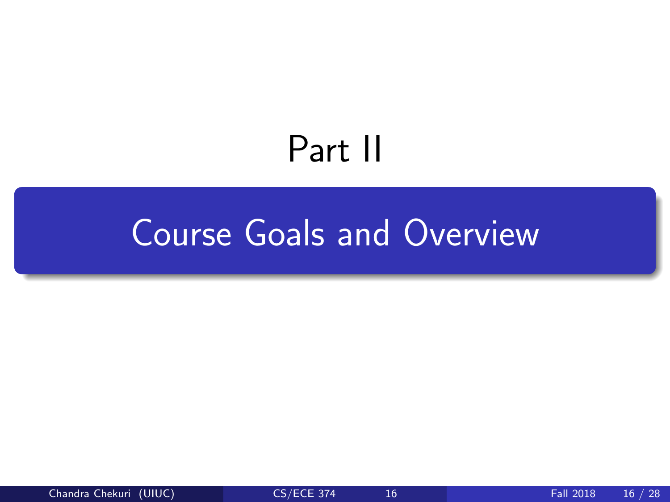## Part II

### <span id="page-15-0"></span>[Course Goals and Overview](#page-15-0)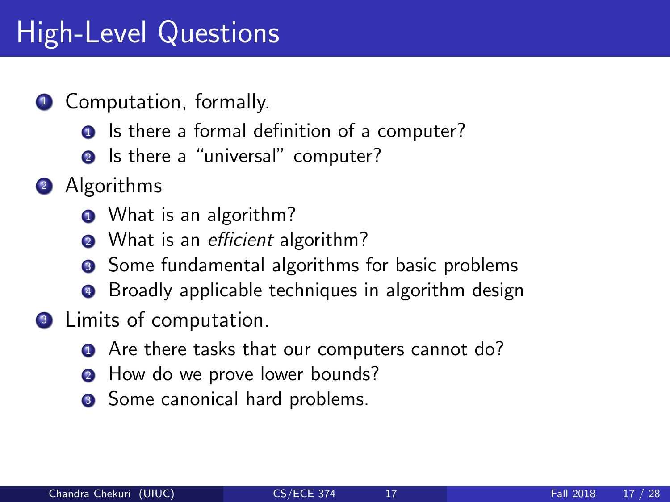### High-Level Questions

#### **1** Computation, formally.

- **1** Is there a formal definition of a computer?
- **2** Is there a "universal" computer?
- 2 Algorithms
	- **1** What is an algorithm?
	- What is an *efficient* algorithm?
	- **3** Some fundamental algorithms for basic problems
	- **4** Broadly applicable techniques in algorithm design
- **3** Limits of computation.
	- **1** Are there tasks that our computers cannot do?
	- **2** How do we prove lower bounds?
	- **3** Some canonical hard problems.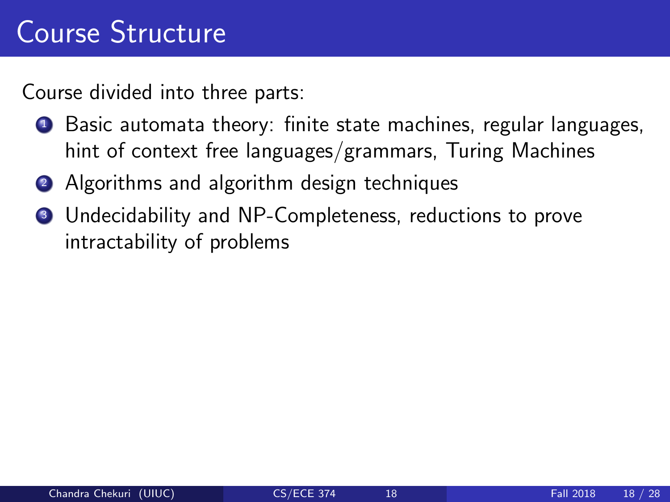### Course Structure

Course divided into three parts:

- <sup>1</sup> Basic automata theory: finite state machines, regular languages, hint of context free languages/grammars, Turing Machines
- 2 Algorithms and algorithm design techniques
- <sup>3</sup> Undecidability and NP-Completeness, reductions to prove intractability of problems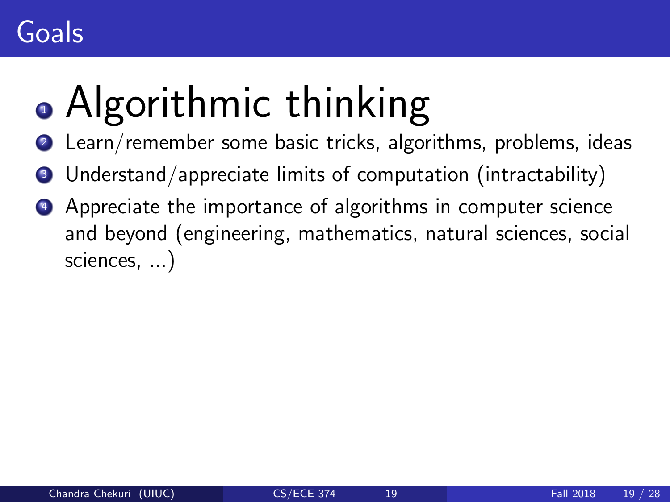# • Algorithmic thinking

- Learn/remember some basic tricks, algorithms, problems, ideas
- Understand/appreciate limits of computation (intractability)
- Appreciate the importance of algorithms in computer science and beyond (engineering, mathematics, natural sciences, social sciences, ...)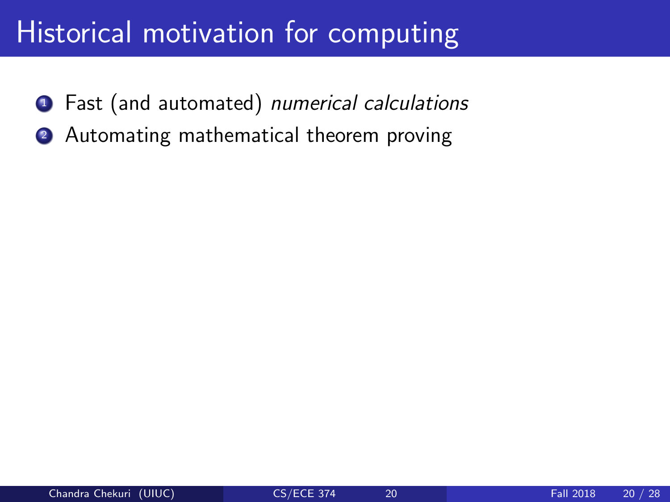### Historical motivation for computing

- **1** Fast (and automated) numerical calculations
- <sup>2</sup> Automating mathematical theorem proving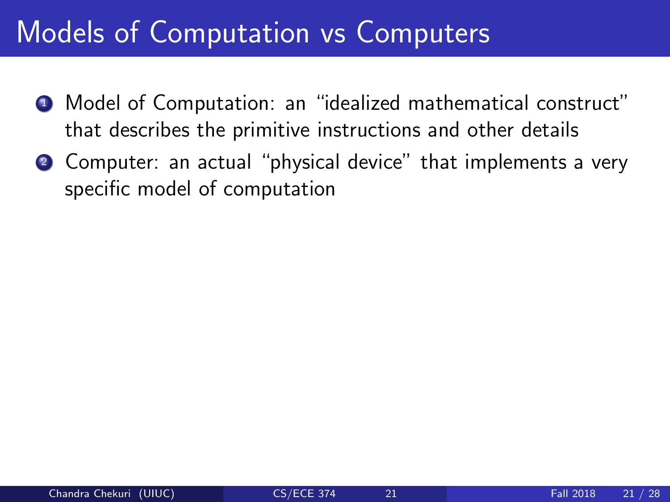### Models of Computation vs Computers

- <sup>1</sup> Model of Computation: an "idealized mathematical construct" that describes the primitive instructions and other details
- **2** Computer: an actual "physical device" that implements a very specific model of computation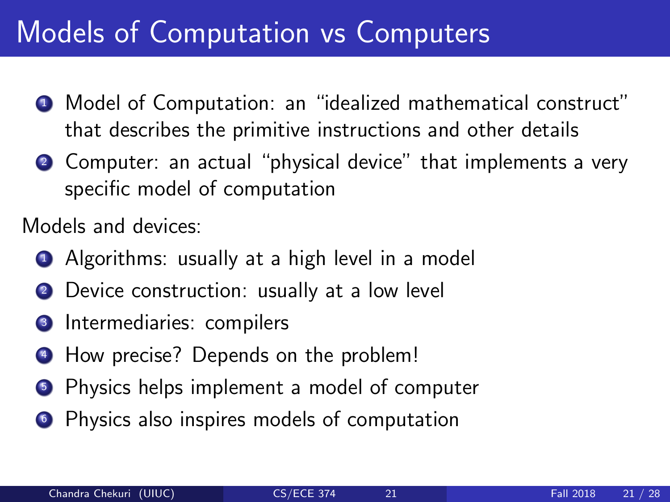### Models of Computation vs Computers

- <sup>1</sup> Model of Computation: an "idealized mathematical construct" that describes the primitive instructions and other details
- **2** Computer: an actual "physical device" that implements a very specific model of computation

Models and devices:

- **1** Algorithms: usually at a high level in a model
- 2 Device construction: usually at a low level
- **3** Intermediaries: compilers
- <sup>4</sup> How precise? Depends on the problem!
- **5** Physics helps implement a model of computer
- **•** Physics also inspires models of computation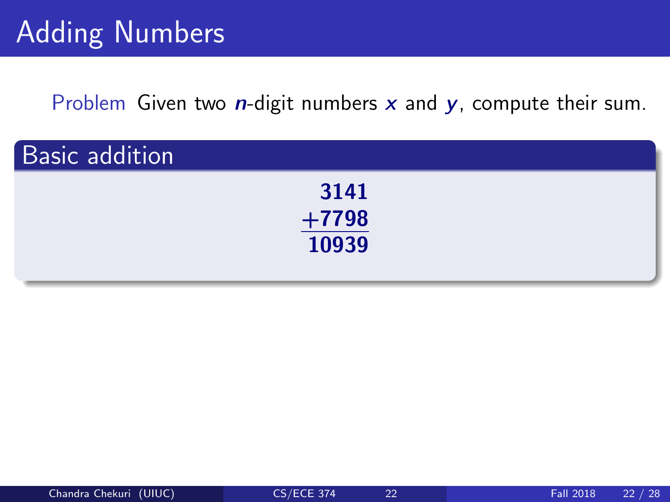Problem Given two  $n$ -digit numbers  $x$  and  $y$ , compute their sum.

| <b>Basic addition</b> |                       |  |
|-----------------------|-----------------------|--|
|                       | 3141                  |  |
|                       | $\frac{+7798}{10939}$ |  |
|                       |                       |  |
|                       |                       |  |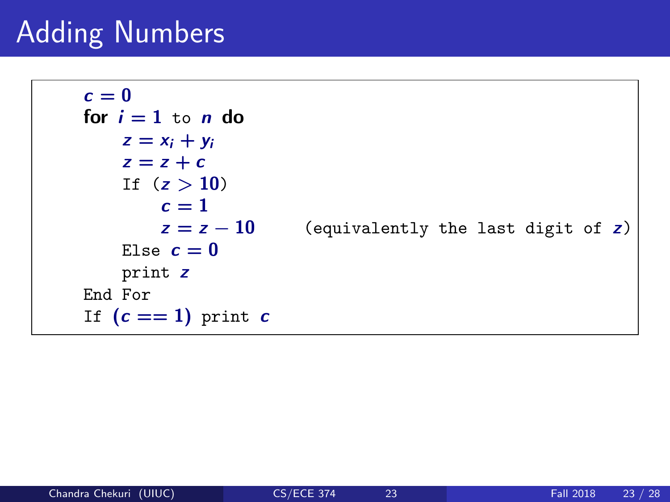### Adding Numbers

```
c = 0for i = 1 to n do
   z = x_i + y_iz = z + cIf (z > 10)c = 1z = z - 10 (equivalently the last digit of z)
   Else c=0print z
End For
If (c == 1) print c
```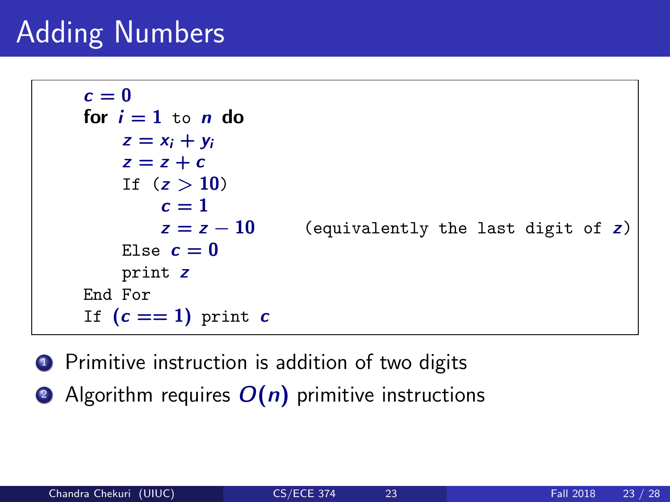### Adding Numbers

```
c=0for i = 1 to n do
   z = x_i + y_iz = z + cIf (z > 10)c=1z = z - 10 (equivalently the last digit of z)
   Else c=0print z
End For
If (c == 1) print c
```
**1** Primitive instruction is addition of two digits

2 Algorithm requires  $O(n)$  primitive instructions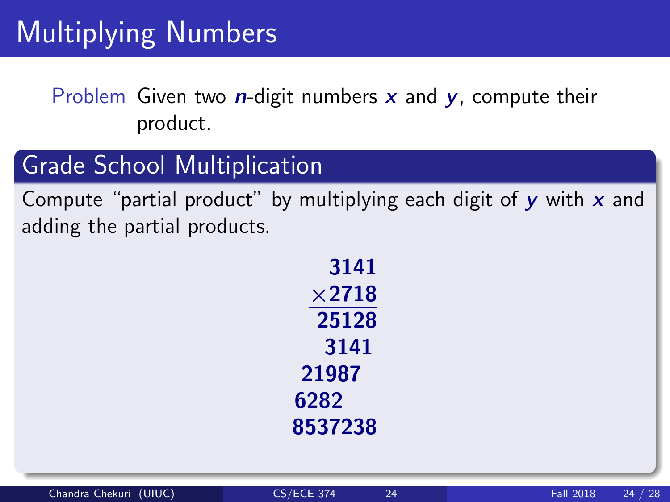Problem Given two *n*-digit numbers  $x$  and  $y$ , compute their product.

#### Grade School Multiplication

Compute "partial product" by multiplying each digit of  $\gamma$  with x and adding the partial products.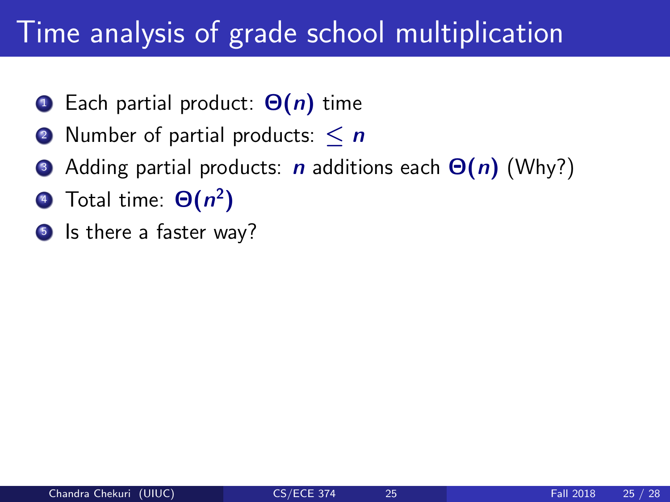### Time analysis of grade school multiplication

- **1** Each partial product:  $\Theta(n)$  time
- 2 Number of partial products:  $\leq n$
- Adding partial products: n additions each  $\Theta(n)$  (Why?)
- **4** Total time:  $\Theta(n^2)$
- **5** Is there a faster way?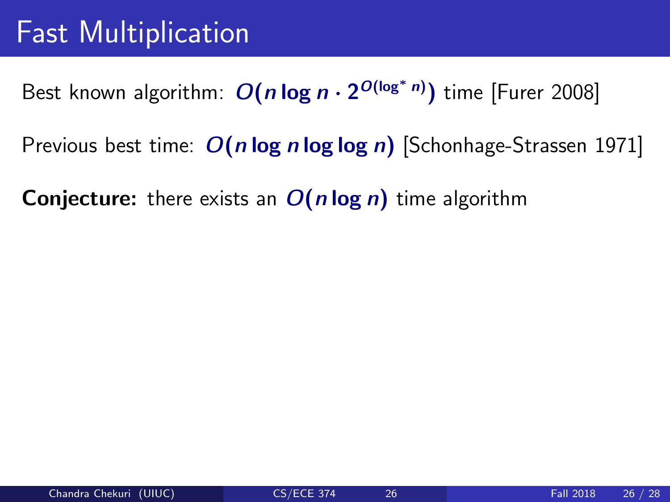### Fast Multiplication

Best known algorithm:  $O(n \log n \cdot 2^{O(\log^* n)})$  time [Furer 2008]

Previous best time:  $O(n \log n \log \log n)$  [Schonhage-Strassen 1971]

**Conjecture:** there exists an  $O(n \log n)$  time algorithm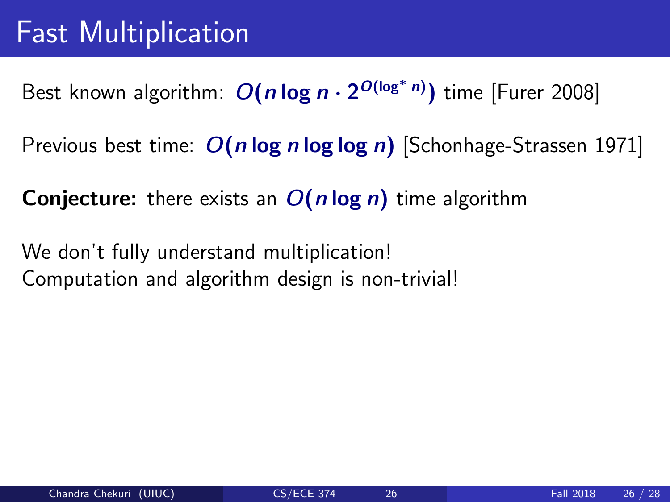Best known algorithm:  $O(n \log n \cdot 2^{O(\log^* n)})$  time [Furer 2008]

Previous best time:  $O(n \log n \log \log n)$  [Schonhage-Strassen 1971]

**Conjecture:** there exists an  $O(n \log n)$  time algorithm

We don't fully understand multiplication! Computation and algorithm design is non-trivial!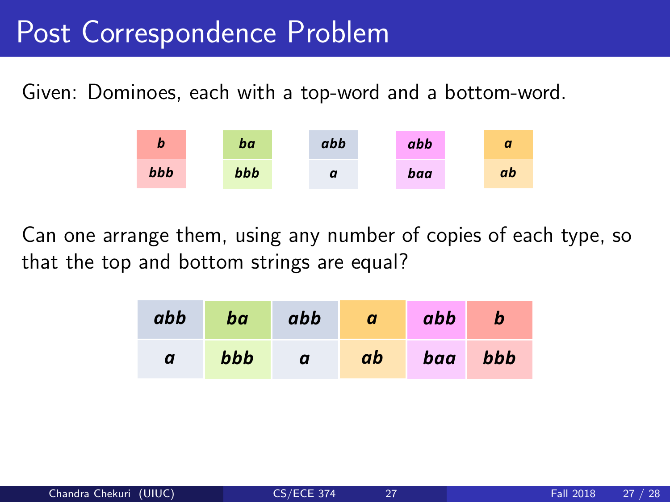### Post Correspondence Problem

Given: Dominoes, each with a top-word and a bottom-word.



Can one arrange them, using any number of copies of each type, so that the top and bottom strings are equal?

| abb | ba  | abb | $\boldsymbol{a}$ | abb     | $\mathbf b$ |
|-----|-----|-----|------------------|---------|-------------|
| a   | bbb | a   | ab               | baa bbb |             |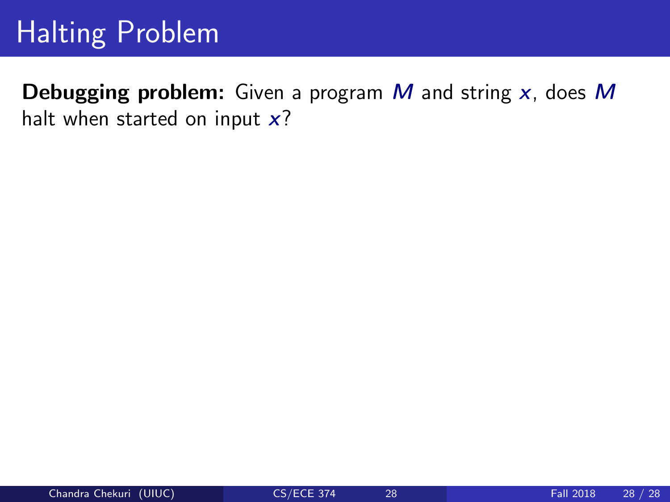### Halting Problem

**Debugging problem:** Given a program  $M$  and string  $x$ , does  $M$ halt when started on input  $x$ ?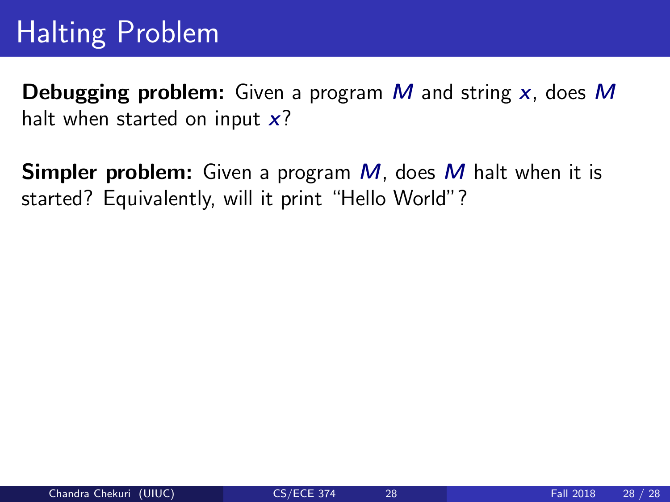### Halting Problem

**Debugging problem:** Given a program M and string x, does M halt when started on input  $x$ ?

**Simpler problem:** Given a program M, does M halt when it is started? Equivalently, will it print "Hello World"?